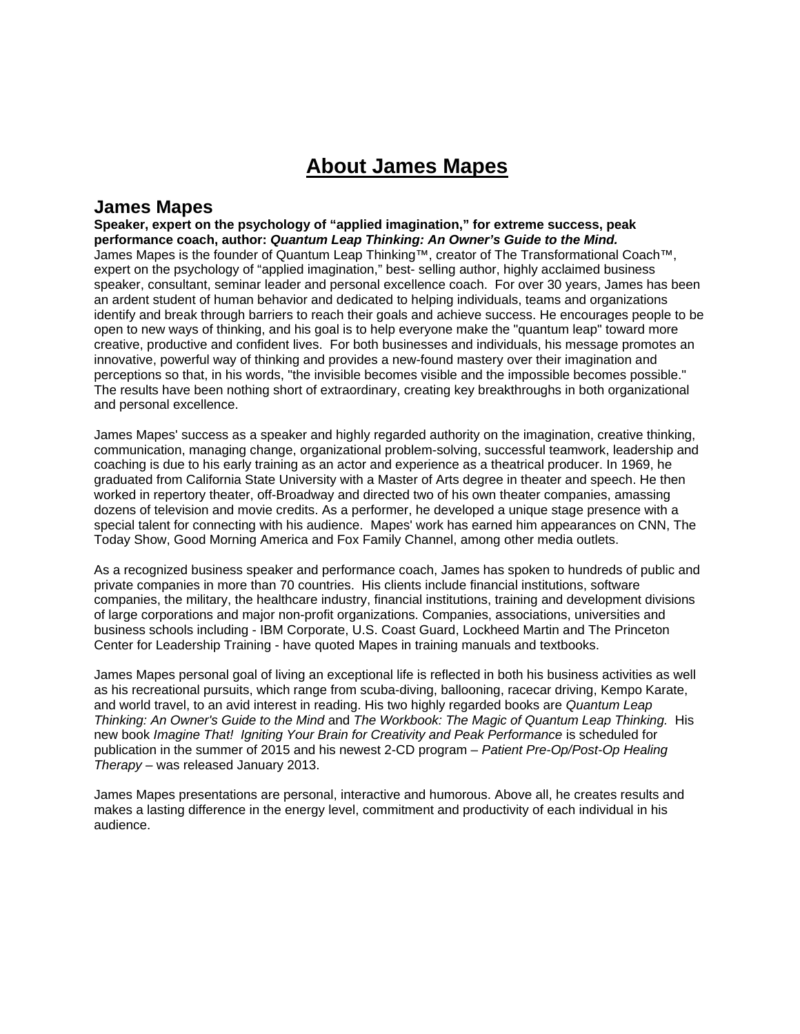## **About James Mapes**

## **James Mapes**

**Speaker, expert on the psychology of "applied imagination," for extreme success, peak performance coach, author:** *Quantum Leap Thinking: An Owner's Guide to the Mind.* James Mapes is the founder of Quantum Leap Thinking™, creator of The Transformational Coach™, expert on the psychology of "applied imagination," best- selling author, highly acclaimed business speaker, consultant, seminar leader and personal excellence coach. For over 30 years, James has been an ardent student of human behavior and dedicated to helping individuals, teams and organizations identify and break through barriers to reach their goals and achieve success. He encourages people to be open to new ways of thinking, and his goal is to help everyone make the "quantum leap" toward more creative, productive and confident lives. For both businesses and individuals, his message promotes an innovative, powerful way of thinking and provides a new-found mastery over their imagination and perceptions so that, in his words, "the invisible becomes visible and the impossible becomes possible." The results have been nothing short of extraordinary, creating key breakthroughs in both organizational and personal excellence.

James Mapes' success as a speaker and highly regarded authority on the imagination, creative thinking, communication, managing change, organizational problem-solving, successful teamwork, leadership and coaching is due to his early training as an actor and experience as a theatrical producer. In 1969, he graduated from California State University with a Master of Arts degree in theater and speech. He then worked in repertory theater, off-Broadway and directed two of his own theater companies, amassing dozens of television and movie credits. As a performer, he developed a unique stage presence with a special talent for connecting with his audience. Mapes' work has earned him appearances on CNN, The Today Show, Good Morning America and Fox Family Channel, among other media outlets.

As a recognized business speaker and performance coach, James has spoken to hundreds of public and private companies in more than 70 countries. His clients include financial institutions, software companies, the military, the healthcare industry, financial institutions, training and development divisions of large corporations and major non-profit organizations. Companies, associations, universities and business schools including - IBM Corporate, U.S. Coast Guard, Lockheed Martin and The Princeton Center for Leadership Training - have quoted Mapes in training manuals and textbooks.

James Mapes personal goal of living an exceptional life is reflected in both his business activities as well as his recreational pursuits, which range from scuba-diving, ballooning, racecar driving, Kempo Karate, and world travel, to an avid interest in reading. His two highly regarded books are *Quantum Leap Thinking: An Owner's Guide to the Mind* and *The Workbook: The Magic of Quantum Leap Thinking.* His new book *Imagine That! Igniting Your Brain for Creativity and Peak Performance* is scheduled for publication in the summer of 2015 and his newest 2-CD program – *Patient Pre-Op/Post-Op Healing Therapy –* was released January 2013.

James Mapes presentations are personal, interactive and humorous. Above all, he creates results and makes a lasting difference in the energy level, commitment and productivity of each individual in his audience.